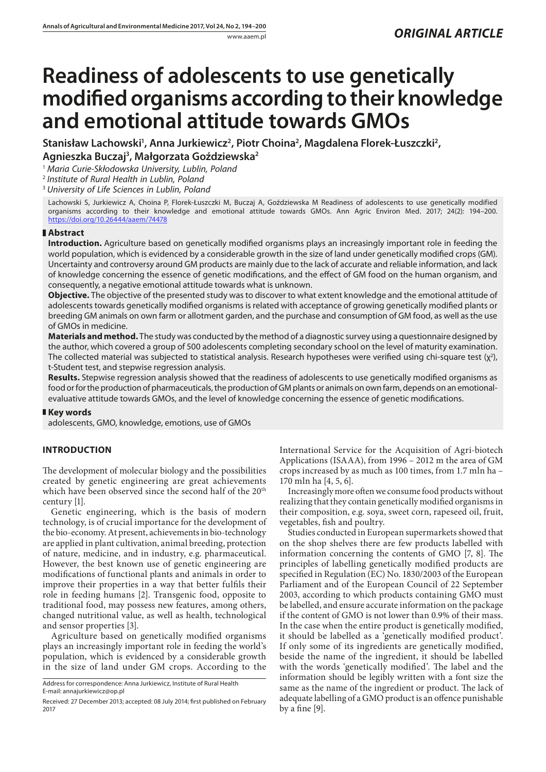# **Readiness of adolescents to use genetically modified organisms according to their knowledge and emotional attitude towards GMOs**

Stanisław Lachowski<sup>1</sup>, Anna Jurkiewicz<sup>2</sup>, Piotr Choina<sup>2</sup>, Magdalena Florek-Łuszczki<sup>2</sup>, **Agnieszka Buczaj3 , Małgorzata Goździewska2**

<sup>1</sup> *Maria Curie-Skłodowska University, Lublin, Poland*

<sup>2</sup> *Institute of Rural Health in Lublin, Poland*

<sup>3</sup> *University of Life Sciences in Lublin, Poland*

Lachowski S, Jurkiewicz A, Choina P, Florek-Łuszczki M, Buczaj A, Goździewska M Readiness of adolescents to use genetically modified organisms according to their knowledge and emotional attitude towards GMOs. Ann Agric Environ Med. 2017; 24(2): 194–200. <https://doi.org/10.26444/aaem/74478>

## **Abstract**

**Introduction.** Agriculture based on genetically modified organisms plays an increasingly important role in feeding the world population, which is evidenced by a considerable growth in the size of land under genetically modified crops (GM). Uncertainty and controversy around GM products are mainly due to the lack of accurate and reliable information, and lack of knowledge concerning the essence of genetic modifications, and the effect of GM food on the human organism, and consequently, a negative emotional attitude towards what is unknown.

**Objective.** The objective of the presented study was to discover to what extent knowledge and the emotional attitude of adolescents towards genetically modified organisms is related with acceptance of growing genetically modified plants or breeding GM animals on own farm or allotment garden, and the purchase and consumption of GM food, as well as the use of GMOs in medicine.

**Materials and method.** The study was conducted by the method of a diagnostic survey using a questionnaire designed by the author, which covered a group of 500 adolescents completing secondary school on the level of maturity examination. The collected material was subjected to statistical analysis. Research hypotheses were verified using chi-square test (χ²), t-Student test, and stepwise regression analysis.

**Results.** Stepwise regression analysis showed that the readiness of adolescents to use genetically modified organisms as food or for the production of pharmaceuticals, the production of GM plants or animals on own farm, depends on an emotionalevaluative attitude towards GMOs, and the level of knowledge concerning the essence of genetic modifications.

## **Key words**

adolescents, GMO, knowledge, emotions, use of GMOs

# **INTRODUCTION**

The development of molecular biology and the possibilities created by genetic engineering are great achievements which have been observed since the second half of the 20<sup>th</sup> century [1].

Genetic engineering, which is the basis of modern technology, is of crucial importance for the development of the bio-economy. At present, achievements in bio-technology are applied in plant cultivation, animal breeding, protection of nature, medicine, and in industry, e.g. pharmaceutical. However, the best known use of genetic engineering are modifications of functional plants and animals in order to improve their properties in a way that better fulfils their role in feeding humans [2]. Transgenic food, opposite to traditional food, may possess new features, among others, changed nutritional value, as well as health, technological and sensor properties [3].

Agriculture based on genetically modified organisms plays an increasingly important role in feeding the world's population, which is evidenced by a considerable growth in the size of land under GM crops. According to the

International Service for the Acquisition of Agri-biotech Applications (ISAAA), from 1996 – 2012 m the area of GM crops increased by as much as 100 times, from 1.7 mln ha – 170 mln ha [4, 5, 6].

Increasingly more often we consume food products without realizing that they contain genetically modified organisms in their composition, e.g. soya, sweet corn, rapeseed oil, fruit, vegetables, fish and poultry.

Studies conducted in European supermarkets showed that on the shop shelves there are few products labelled with information concerning the contents of GMO [7, 8]. The principles of labelling genetically modified products are specified in Regulation (EC) No. 1830/2003 of the European Parliament and of the European Council of 22 September 2003, according to which products containing GMO must be labelled, and ensure accurate information on the package if the content of GMO is not lower than 0.9% of their mass. In the case when the entire product is genetically modified, it should be labelled as a 'genetically modified product'. If only some of its ingredients are genetically modified, beside the name of the ingredient, it should be labelled with the words 'genetically modified'. The label and the information should be legibly written with a font size the same as the name of the ingredient or product. The lack of adequate labelling of a GMO product is an offence punishable by a fine [9].

Address for correspondence: Anna Jurkiewicz, Institute of Rural Health E-mail: [annajurkiewicz@op.pl](mailto:annajurkiewicz@op.pl)

Received: 27 December 2013; accepted: 08 July 2014; first published on February 2017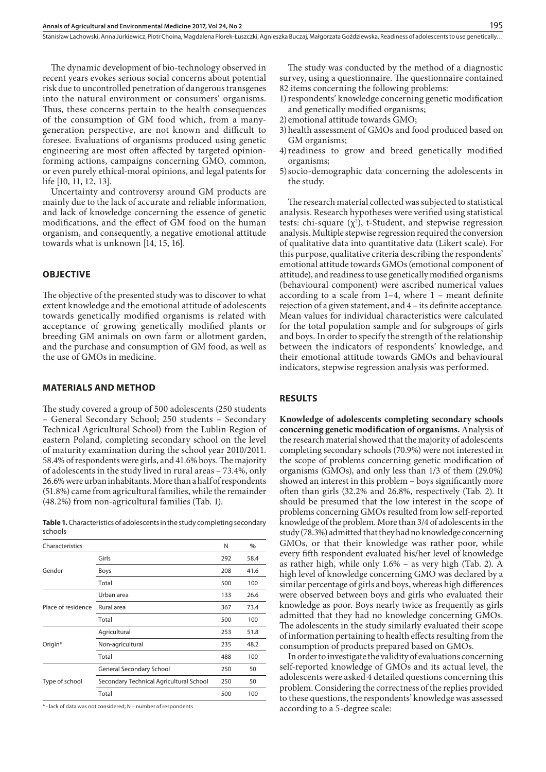The dynamic development of bio-technology observed in recent years evokes serious social concerns about potential risk due to uncontrolled penetration of dangerous transgenes into the natural environment or consumers' organisms. Thus, these concerns pertain to the health consequences of the consumption of GM food which, from a manygeneration perspective, are not known and difficult to foresee. Evaluations of organisms produced using genetic engineering are most often affected by targeted opinionforming actions, campaigns concerning GMO, common, or even purely ethical-moral opinions, and legal patents for life [10, 11, 12, 13].

Uncertainty and controversy around GM products are mainly due to the lack of accurate and reliable information, and lack of knowledge concerning the essence of genetic modifications, and the effect of GM food on the human organism, and consequently, a negative emotional attitude towards what is unknown [14, 15, 16].

## **OBJECTIVE**

The objective of the presented study was to discover to what extent knowledge and the emotional attitude of adolescents towards genetically modified organisms is related with acceptance of growing genetically modified plants or breeding GM animals on own farm or allotment garden, and the purchase and consumption of GM food, as well as the use of GMOs in medicine.

#### **MATERIALS AND METHOD**

The study covered a group of 500 adolescents (250 students – General Secondary School; 250 students – Secondary Technical Agricultural School) from the Lublin Region of eastern Poland, completing secondary school on the level of maturity examination during the school year 2010/2011. 58.4% of respondents were girls, and 41.6% boys. The majority of adolescents in the study lived in rural areas – 73.4%, only 26.6% were urban inhabitants. More than a half of respondents (51.8%) came from agricultural families, while the remainder (48.2%) from non-agricultural families (Tab. 1).

Table 1. Characteristics of adolescents in the study completing secondary schools

| Characteristics    |                                         | N   | $\%$ |
|--------------------|-----------------------------------------|-----|------|
| Gender             | Girls                                   | 292 | 58.4 |
|                    | Boys                                    | 208 | 41.6 |
|                    | Total                                   | 500 | 100  |
|                    | Urban area                              | 133 | 26.6 |
| Place of residence | Rural area                              | 367 | 73.4 |
|                    | Total                                   | 500 | 100  |
| Origin*            | Agricultural                            | 253 | 51.8 |
|                    | Non-agricultural                        | 235 | 48.2 |
|                    | Total                                   | 488 | 100  |
|                    | <b>General Secondary School</b>         | 250 | 50   |
| Type of school     | Secondary Technical Agricultural School | 250 | 50   |
|                    | Total                                   | 500 | 100  |
|                    |                                         |     |      |

\* - lack of data was not considered; N – number of respondents

The study was conducted by the method of a diagnostic survey, using a questionnaire. The questionnaire contained 82 items concerning the following problems:

1) respondents' knowledge concerning genetic modification and genetically modified organisms;

- 2) emotional attitude towards GMO;
- 3)health assessment of GMOs and food produced based on GM organisms;
- 4)readiness to grow and breed genetically modified organisms;
- 5)socio-demographic data concerning the adolescents in the study.

The research material collected was subjected to statistical analysis. Research hypotheses were verified using statistical tests: chi-square  $(\chi^2)$ , t-Student, and stepwise regression analysis. Multiple stepwise regression required the conversion of qualitative data into quantitative data (Likert scale). For this purpose, qualitative criteria describing the respondents' emotional attitude towards GMOs (emotional component of attitude), and readiness to use genetically modified organisms (behavioural component) were ascribed numerical values according to a scale from 1–4, where 1 – meant definite rejection of a given statement, and 4 – its definite acceptance. Mean values for individual characteristics were calculated for the total population sample and for subgroups of girls and boys. In order to specify the strength of the relationship between the indicators of respondents' knowledge, and their emotional attitude towards GMOs and behavioural indicators, stepwise regression analysis was performed.

#### **RESULTS**

**Knowledge of adolescents completing secondary schools concerning genetic modification of organisms.** Analysis of the research material showed that the majority of adolescents completing secondary schools (70.9%) were not interested in the scope of problems concerning genetic modification of organisms (GMOs), and only less than 1/3 of them (29.0%) showed an interest in this problem – boys significantly more often than girls (32.2% and 26.8%, respectively (Tab. 2). It should be presumed that the low interest in the scope of problems concerning GMOs resulted from low self-reported knowledge of the problem. More than 3/4 of adolescents in the study (78.3%) admitted that they had no knowledge concerning GMOs, or that their knowledge was rather poor, while every fifth respondent evaluated his/her level of knowledge as rather high, while only 1.6% – as very high (Tab. 2). A high level of knowledge concerning GMO was declared by a similar percentage of girls and boys, whereas high differences were observed between boys and girls who evaluated their knowledge as poor. Boys nearly twice as frequently as girls admitted that they had no knowledge concerning GMOs. The adolescents in the study similarly evaluated their scope of information pertaining to health effects resulting from the consumption of products prepared based on GMOs.

In order to investigate the validity of evaluations concerning self-reported knowledge of GMOs and its actual level, the adolescents were asked 4 detailed questions concerning this problem. Considering the correctness of the replies provided to these questions, the respondents' knowledge was assessed according to a 5-degree scale: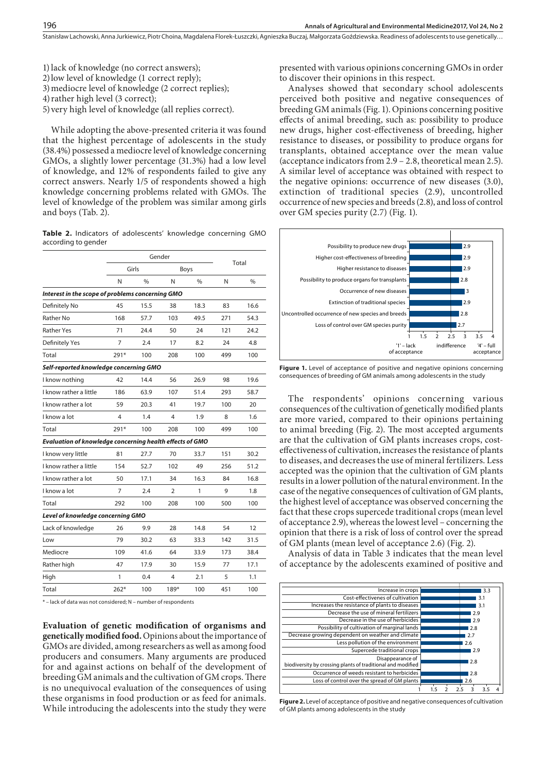1)lack of knowledge (no correct answers);

2)low level of knowledge (1 correct reply); 3)mediocre level of knowledge (2 correct replies);

4)rather high level (3 correct);

5)very high level of knowledge (all replies correct).

While adopting the above-presented criteria it was found that the highest percentage of adolescents in the study (38.4%) possessed a mediocre level of knowledge concerning GMOs, a slightly lower percentage (31.3%) had a low level of knowledge, and 12% of respondents failed to give any correct answers. Nearly 1/5 of respondents showed a high knowledge concerning problems related with GMOs. The level of knowledge of the problem was similar among girls and boys (Tab. 2).

**Table 2.** Indicators of adolescents' knowledge concerning GMO according to gender

|                                                          |        | Gender        | Total  |      |      |               |  |  |  |  |
|----------------------------------------------------------|--------|---------------|--------|------|------|---------------|--|--|--|--|
|                                                          | Girls  |               |        |      | Boys |               |  |  |  |  |
|                                                          | N      | $\frac{0}{n}$ | N      | $\%$ | N    | $\frac{0}{0}$ |  |  |  |  |
| Interest in the scope of problems concerning GMO         |        |               |        |      |      |               |  |  |  |  |
| Definitely No                                            | 45     | 15.5          | 38     | 18.3 | 83   | 16.6          |  |  |  |  |
| Rather No                                                | 168    | 57.7          | 103    | 49.5 | 271  | 54.3          |  |  |  |  |
| <b>Rather Yes</b>                                        | 71     | 24.4          | 50     | 24   | 121  | 24.2          |  |  |  |  |
| Definitely Yes                                           | 7      | 2.4           | 17     | 8.2  | 24   | 4.8           |  |  |  |  |
| Total                                                    | $291*$ | 100           | 208    | 100  | 499  | 100           |  |  |  |  |
| Self-reported knowledge concerning GMO                   |        |               |        |      |      |               |  |  |  |  |
| I know nothing                                           | 42     | 14.4          | 56     | 26.9 | 98   | 19.6          |  |  |  |  |
| I know rather a little                                   | 186    | 63.9          | 107    | 51.4 | 293  | 58.7          |  |  |  |  |
| I know rather a lot                                      | 59     | 20.3          | 41     | 19.7 | 100  | 20            |  |  |  |  |
| I know a lot                                             | 4      | 1.4           | 4      | 1.9  | 8    | 1.6           |  |  |  |  |
| Total                                                    | $291*$ | 100           | 208    | 100  | 499  | 100           |  |  |  |  |
| Evaluation of knowledge concerning health effects of GMO |        |               |        |      |      |               |  |  |  |  |
| I know very little                                       | 81     | 27.7          | 70     | 33.7 | 151  | 30.2          |  |  |  |  |
| I know rather a little                                   | 154    | 52.7          | 102    | 49   | 256  | 51.2          |  |  |  |  |
| I know rather a lot                                      | 50     | 17.1          | 34     | 16.3 | 84   | 16.8          |  |  |  |  |
| I know a lot                                             | 7      | 2.4           | 2      | 1    | 9    | 1.8           |  |  |  |  |
| Total                                                    | 292    | 100           | 208    | 100  | 500  | 100           |  |  |  |  |
| Level of knowledge concerning GMO                        |        |               |        |      |      |               |  |  |  |  |
| Lack of knowledge                                        | 26     | 9.9           | 28     | 14.8 | 54   | 12            |  |  |  |  |
| Low                                                      | 79     | 30.2          | 63     | 33.3 | 142  | 31.5          |  |  |  |  |
| Mediocre                                                 | 109    | 41.6          | 64     | 33.9 | 173  | 38.4          |  |  |  |  |
| Rather high                                              | 47     | 17.9          | 30     | 15.9 | 77   | 17.1          |  |  |  |  |
| High                                                     | 1      | 0.4           | 4      | 2.1  | 5    | 1.1           |  |  |  |  |
| Total                                                    | $262*$ | 100           | $189*$ | 100  | 451  | 100           |  |  |  |  |

\* – lack of data was not considered; N – number of respondents

**Evaluation of genetic modification of organisms and genetically modified food.** Opinions about the importance of GMOs are divided, among researchers as well as among food producers and consumers. Many arguments are produced for and against actions on behalf of the development of breeding GM animals and the cultivation of GM crops. There is no unequivocal evaluation of the consequences of using these organisms in food production or as feed for animals. While introducing the adolescents into the study they were

presented with various opinions concerning GMOs in order to discover their opinions in this respect.

Analyses showed that secondary school adolescents perceived both positive and negative consequences of breeding GM animals (Fig. 1). Opinions concerning positive effects of animal breeding, such as: possibility to produce new drugs, higher cost-effectiveness of breeding, higher resistance to diseases, or possibility to produce organs for transplants, obtained acceptance over the mean value (acceptance indicators from 2.9 – 2.8, theoretical mean 2.5). A similar level of acceptance was obtained with respect to the negative opinions: occurrence of new diseases (3.0), extinction of traditional species (2.9), uncontrolled occurrence of new species and breeds (2.8), and loss of control over GM species purity (2.7) (Fig. 1).



Figure 1. Level of acceptance of positive and negative opinions concerning consequences of breeding of GM animals among adolescents in the study

The respondents' opinions concerning various consequences of the cultivation of genetically modified plants are more varied, compared to their opinions pertaining to animal breeding (Fig. 2). The most accepted arguments are that the cultivation of GM plants increases crops, costeffectiveness of cultivation, increases the resistance of plants to diseases, and decreases the use of mineral fertilizers. Less accepted was the opinion that the cultivation of GM plants results in a lower pollution of the natural environment. In the case of the negative consequences of cultivation of GM plants, the highest level of acceptance was observed concerning the fact that these crops supercede traditional crops (mean level of acceptance 2.9), whereas the lowest level – concerning the opinion that there is a risk of loss of control over the spread of GM plants (mean level of acceptance 2.6) (Fig. 2).

Analysis of data in Table 3 indicates that the mean level of acceptance by the adolescents examined of positive and



**Figure 2.** Level of acceptance of positive and negative consequences of cultivation of GM plants among adolescents in the study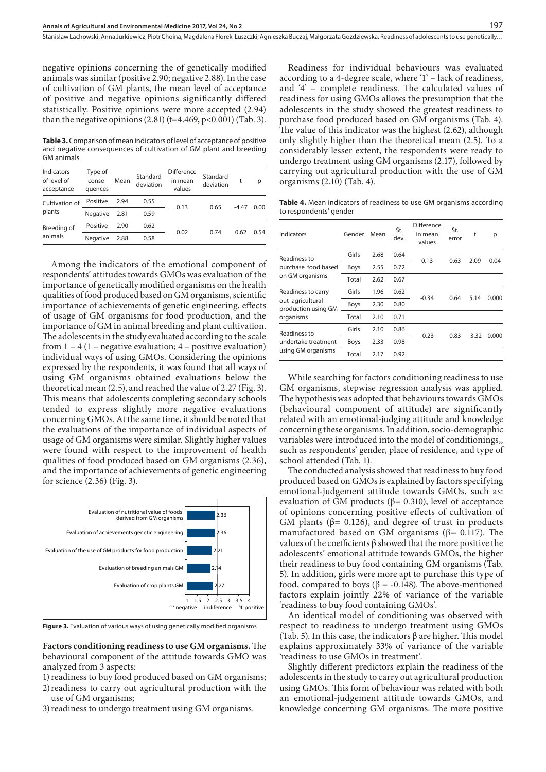negative opinions concerning the of genetically modified animals was similar (positive 2.90; negative 2.88). In the case of cultivation of GM plants, the mean level of acceptance of positive and negative opinions significantly differed statistically. Positive opinions were more accepted (2.94) than the negative opinions  $(2.81)$  (t=4.469, p<0.001) (Tab. 3).

**Table 3.** Comparison of mean indicators of level of acceptance of positive and negative consequences of cultivation of GM plant and breeding GM animals

| Indicators<br>of level of<br>acceptance | Type of<br>conse-<br>quences | Mean | Standard<br>deviation | Difference<br>in mean<br>values | Standard<br>deviation | t       | p    |
|-----------------------------------------|------------------------------|------|-----------------------|---------------------------------|-----------------------|---------|------|
| Cultivation of<br>plants                | Positive                     | 2.94 | 0.55                  | 0.13                            | 0.65                  | $-4.47$ | 0.00 |
|                                         | Negative                     | 2.81 | 0.59                  |                                 |                       |         |      |
| Breeding of<br>animals                  | Positive                     | 2.90 | 0.62                  |                                 |                       |         |      |
|                                         | Negative                     | 2.88 | 0.58                  | 0.02                            | 0.74                  | 0.62    | 0.54 |

Among the indicators of the emotional component of respondents' attitudes towards GMOs was evaluation of the importance of genetically modified organisms on the health qualities of food produced based on GM organisms, scientific importance of achievements of genetic engineering, effects of usage of GM organisms for food production, and the importance of GM in animal breeding and plant cultivation. The adolescents in the study evaluated according to the scale from  $1 - 4$  (1 – negative evaluation;  $4$  – positive evaluation) individual ways of using GMOs. Considering the opinions expressed by the respondents, it was found that all ways of using GM organisms obtained evaluations below the theoretical mean (2.5), and reached the value of 2.27 (Fig. 3). This means that adolescents completing secondary schools tended to express slightly more negative evaluations concerning GMOs. At the same time, it should be noted that the evaluations of the importance of individual aspects of usage of GM organisms were similar. Slightly higher values were found with respect to the improvement of health qualities of food produced based on GM organisms (2.36), and the importance of achievements of genetic engineering for science (2.36) (Fig. 3).



**Figure 3.** Evaluation of various ways of using genetically modified organisms

**Factors conditioning readiness to use GM organisms.** The behavioural component of the attitude towards GMO was analyzed from 3 aspects:

- 1) readiness to buy food produced based on GM organisms;
- 2)readiness to carry out agricultural production with the use of GM organisms;
- 3)readiness to undergo treatment using GM organisms.

Readiness for individual behaviours was evaluated according to a 4-degree scale, where '1' – lack of readiness, and '4' – complete readiness. The calculated values of readiness for using GMOs allows the presumption that the adolescents in the study showed the greatest readiness to purchase food produced based on GM organisms (Tab. 4). The value of this indicator was the highest (2.62), although only slightly higher than the theoretical mean (2.5). To a considerably lesser extent, the respondents were ready to undergo treatment using GM organisms (2.17), followed by carrying out agricultural production with the use of GM organisms (2.10) (Tab. 4).

**Table 4.** Mean indicators of readiness to use GM organisms according to respondents' gender

| Indicators                                                                 | Gender      | Mean | St.<br>dev. | Difference<br>in mean<br>values | St.<br>error | t       | р     |
|----------------------------------------------------------------------------|-------------|------|-------------|---------------------------------|--------------|---------|-------|
| Readiness to                                                               | Girls       | 2.68 | 0.64        |                                 |              | 2.09    | 0.04  |
| purchase food based                                                        | Boys        | 2.55 | 0.72        | 0.13                            | 0.63         |         |       |
| on GM organisms                                                            | Total       | 2.62 | 0.67        |                                 |              |         |       |
| Readiness to carry<br>out agricultural<br>production using GM<br>organisms | Girls       | 1.96 | 0.62        | $-0.34$<br>0.64                 |              | 5.14    | 0.000 |
|                                                                            | <b>Boys</b> | 2.30 | 0.80        |                                 |              |         |       |
|                                                                            | Total       | 2.10 | 0.71        |                                 |              |         |       |
| Readiness to<br>undertake treatment<br>using GM organisms                  | Girls       | 2.10 | 0.86        |                                 |              |         |       |
|                                                                            | <b>Boys</b> | 2.33 | 0.98        | $-0.23$                         | 0.83         | $-3.32$ | 0.000 |
|                                                                            | Total       | 2.17 | 0.92        |                                 |              |         |       |

While searching for factors conditioning readiness to use GM organisms, stepwise regression analysis was applied. The hypothesis was adopted that behaviours towards GMOs (behavioural component of attitude) are significantly related with an emotional-judging attitude and knowledge concerning these organisms. In addition, socio-demographic variables were introduced into the model of conditionings,, such as respondents' gender, place of residence, and type of school attended (Tab. 1).

The conducted analysis showed that readiness to buy food produced based on GMOs is explained by factors specifying emotional-judgement attitude towards GMOs, such as: evaluation of GM products ( $β = 0.310$ ), level of acceptance of opinions concerning positive effects of cultivation of GM plants ( $\beta$ = 0.126), and degree of trust in products manufactured based on GM organisms ( $\beta$ = 0.117). The values of the coefficients β showed that the more positive the adolescents' emotional attitude towards GMOs, the higher their readiness to buy food containing GM organisms (Tab. 5). In addition, girls were more apt to purchase this type of food, compared to boys ( $\beta$  = -0.148). The above-mentioned factors explain jointly 22% of variance of the variable 'readiness to buy food containing GMOs'.

An identical model of conditioning was observed with respect to readiness to undergo treatment using GMOs (Tab. 5). In this case, the indicators β are higher. This model explains approximately 33% of variance of the variable 'readiness to use GMOs in treatment'.

Slightly different predictors explain the readiness of the adolescents in the study to carry out agricultural production using GMOs. This form of behaviour was related with both an emotional-judgement attitude towards GMOs, and knowledge concerning GM organisms. The more positive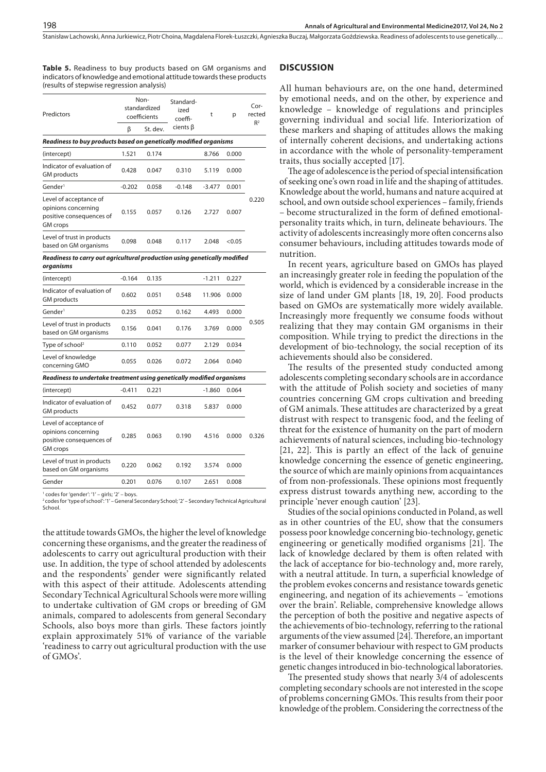**Table 5.** Readiness to buy products based on GM organisms and indicators of knowledge and emotional attitude towards these products (results of stepwise regression analysis)

| Predictors                                                                                   | Non-<br>standardized<br>coefficients |          | Standard-<br>ized<br>coeffi- | t        | р      | Cor-<br>rected<br>$R^2$ |  |  |  |
|----------------------------------------------------------------------------------------------|--------------------------------------|----------|------------------------------|----------|--------|-------------------------|--|--|--|
|                                                                                              | β                                    | St. dev. | cients $\beta$               |          |        |                         |  |  |  |
| Readiness to buy products based on genetically modified organisms                            |                                      |          |                              |          |        |                         |  |  |  |
| (intercept)                                                                                  | 1.521                                | 0.174    |                              | 8.766    | 0.000  |                         |  |  |  |
| Indicator of evaluation of<br><b>GM</b> products                                             | 0.428                                | 0.047    | 0.310                        | 5.119    | 0.000  |                         |  |  |  |
| Gender <sup>1</sup>                                                                          | $-0.202$                             | 0.058    | $-0.148$                     | $-3.477$ | 0.001  |                         |  |  |  |
| Level of acceptance of<br>opinions concerning<br>positive consequences of<br><b>GM</b> crops | 0.155                                | 0.057    | 0.126                        | 2.727    | 0.007  | 0.220                   |  |  |  |
| Level of trust in products<br>based on GM organisms                                          | 0.098                                | 0.048    | 0.117                        | 2.048    | < 0.05 |                         |  |  |  |
| Readiness to carry out agricultural production using genetically modified<br>organisms       |                                      |          |                              |          |        |                         |  |  |  |
| (intercept)                                                                                  | $-0.164$                             | 0.135    |                              | $-1.211$ | 0.227  |                         |  |  |  |
| Indicator of evaluation of<br><b>GM</b> products                                             | 0.602                                | 0.051    | 0.548                        | 11.906   | 0.000  | 0.505                   |  |  |  |
| Gender <sup>1</sup>                                                                          | 0.235                                | 0.052    | 0.162                        | 4.493    | 0.000  |                         |  |  |  |
| Level of trust in products<br>based on GM organisms                                          | 0.156                                | 0.041    | 0.176                        | 3.769    | 0.000  |                         |  |  |  |
| Type of school <sup>2</sup>                                                                  | 0.110                                | 0.052    | 0.077                        | 2.129    | 0.034  |                         |  |  |  |
| Level of knowledge<br>concerning GMO                                                         | 0.055                                | 0.026    | 0.072                        | 2.064    | 0.040  |                         |  |  |  |
| Readiness to undertake treatment using genetically modified organisms                        |                                      |          |                              |          |        |                         |  |  |  |
| (intercept)                                                                                  | $-0.411$                             | 0.221    |                              | -1.860   | 0.064  |                         |  |  |  |
| Indicator of evaluation of<br><b>GM</b> products                                             | 0.452                                | 0.077    | 0.318                        | 5.837    | 0.000  |                         |  |  |  |
| Level of acceptance of<br>opinions concerning<br>positive consequences of<br><b>GM</b> crops | 0.285                                | 0.063    | 0.190                        | 4.516    | 0.000  | 0.326                   |  |  |  |
| Level of trust in products<br>based on GM organisms                                          | 0.220                                | 0.062    | 0.192                        | 3.574    | 0.000  |                         |  |  |  |
| Gender                                                                                       | 0.201                                | 0.076    | 0.107                        | 2.651    | 0.008  |                         |  |  |  |
|                                                                                              |                                      |          |                              |          |        |                         |  |  |  |

1 codes for 'gender': '1' – girls; '2' – boys.

2 codes for 'type of school': '1' – General Secondary School; '2' – Secondary Technical Agricultural School.

the attitude towards GMOs, the higher the level of knowledge concerning these organisms, and the greater the readiness of adolescents to carry out agricultural production with their use. In addition, the type of school attended by adolescents and the respondents' gender were significantly related with this aspect of their attitude. Adolescents attending Secondary Technical Agricultural Schools were more willing to undertake cultivation of GM crops or breeding of GM animals, compared to adolescents from general Secondary Schools, also boys more than girls. These factors jointly explain approximately 51% of variance of the variable 'readiness to carry out agricultural production with the use of GMOs'.

#### **DISCUSSION**

All human behaviours are, on the one hand, determined by emotional needs, and on the other, by experience and knowledge – knowledge of regulations and principles governing individual and social life. Interiorization of these markers and shaping of attitudes allows the making of internally coherent decisions, and undertaking actions in accordance with the whole of personality-temperament traits, thus socially accepted [17].

The age of adolescence is the period of special intensification of seeking one's own road in life and the shaping of attitudes. Knowledge about the world, humans and nature acquired at school, and own outside school experiences – family, friends – become structuralized in the form of defined emotionalpersonality traits which, in turn, delineate behaviours. The activity of adolescents increasingly more often concerns also consumer behaviours, including attitudes towards mode of nutrition.

In recent years, agriculture based on GMOs has played an increasingly greater role in feeding the population of the world, which is evidenced by a considerable increase in the size of land under GM plants [18, 19, 20]. Food products based on GMOs are systematically more widely available. Increasingly more frequently we consume foods without realizing that they may contain GM organisms in their composition. While trying to predict the directions in the development of bio-technology, the social reception of its achievements should also be considered.

The results of the presented study conducted among adolescents completing secondary schools are in accordance with the attitude of Polish society and societies of many countries concerning GM crops cultivation and breeding of GM animals. These attitudes are characterized by a great distrust with respect to transgenic food, and the feeling of threat for the existence of humanity on the part of modern achievements of natural sciences, including bio-technology [21, 22]. This is partly an effect of the lack of genuine knowledge concerning the essence of genetic engineering, the source of which are mainly opinions from acquaintances of from non-professionals. These opinions most frequently express distrust towards anything new, according to the principle 'never enough caution' [23].

Studies of the social opinions conducted in Poland, as well as in other countries of the EU, show that the consumers possess poor knowledge concerning bio-technology, genetic engineering or genetically modified organisms [21]. The lack of knowledge declared by them is often related with the lack of acceptance for bio-technology and, more rarely, with a neutral attitude. In turn, a superficial knowledge of the problem evokes concerns and resistance towards genetic engineering, and negation of its achievements – 'emotions over the brain'. Reliable, comprehensive knowledge allows the perception of both the positive and negative aspects of the achievements of bio-technology, referring to the rational arguments of the view assumed [24]. Therefore, an important marker of consumer behaviour with respect to GM products is the level of their knowledge concerning the essence of genetic changes introduced in bio-technological laboratories.

The presented study shows that nearly 3/4 of adolescents completing secondary schools are not interested in the scope of problems concerning GMOs. This results from their poor knowledge of the problem. Considering the correctness of the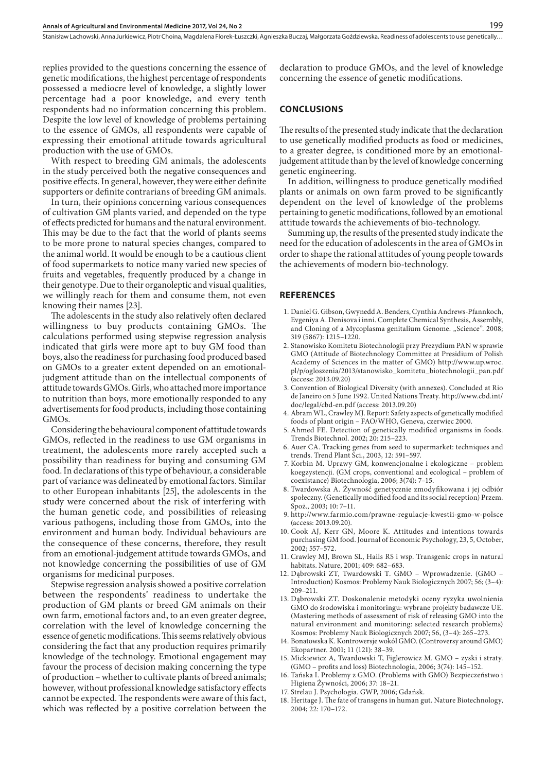replies provided to the questions concerning the essence of genetic modifications, the highest percentage of respondents possessed a mediocre level of knowledge, a slightly lower percentage had a poor knowledge, and every tenth respondents had no information concerning this problem. Despite the low level of knowledge of problems pertaining to the essence of GMOs, all respondents were capable of expressing their emotional attitude towards agricultural production with the use of GMOs.

With respect to breeding GM animals, the adolescents in the study perceived both the negative consequences and positive effects. In general, however, they were either definite supporters or definite contrarians of breeding GM animals.

In turn, their opinions concerning various consequences of cultivation GM plants varied, and depended on the type of effects predicted for humans and the natural environment. This may be due to the fact that the world of plants seems to be more prone to natural species changes, compared to the animal world. It would be enough to be a cautious client of food supermarkets to notice many varied new species of fruits and vegetables, frequently produced by a change in their genotype. Due to their organoleptic and visual qualities, we willingly reach for them and consume them, not even knowing their names [23].

The adolescents in the study also relatively often declared willingness to buy products containing GMOs. The calculations performed using stepwise regression analysis indicated that girls were more apt to buy GM food than boys, also the readiness for purchasing food produced based on GMOs to a greater extent depended on an emotionaljudgment attitude than on the intellectual components of attitude towards GMOs. Girls, who attached more importance to nutrition than boys, more emotionally responded to any advertisements for food products, including those containing GMOs.

Considering the behavioural component of attitude towards GMOs, reflected in the readiness to use GM organisms in treatment, the adolescents more rarely accepted such a possibility than readiness for buying and consuming GM food. In declarations of this type of behaviour, a considerable part of variance was delineated by emotional factors. Similar to other European inhabitants [25], the adolescents in the study were concerned about the risk of interfering with the human genetic code, and possibilities of releasing various pathogens, including those from GMOs, into the environment and human body. Individual behaviours are the consequence of these concerns, therefore, they result from an emotional-judgement attitude towards GMOs, and not knowledge concerning the possibilities of use of GM organisms for medicinal purposes.

Stepwise regression analysis showed a positive correlation between the respondents' readiness to undertake the production of GM plants or breed GM animals on their own farm, emotional factors and, to an even greater degree, correlation with the level of knowledge concerning the essence of genetic modifications. This seems relatively obvious considering the fact that any production requires primarily knowledge of the technology. Emotional engagement may favour the process of decision making concerning the type of production – whether to cultivate plants of breed animals; however, without professional knowledge satisfactory effects cannot be expected. The respondents were aware of this fact, which was reflected by a positive correlation between the

declaration to produce GMOs, and the level of knowledge concerning the essence of genetic modifications.

#### **CONCLUSIONS**

The results of the presented study indicate that the declaration to use genetically modified products as food or medicines, to a greater degree, is conditioned more by an emotionaljudgement attitude than by the level of knowledge concerning genetic engineering.

In addition, willingness to produce genetically modified plants or animals on own farm proved to be significantly dependent on the level of knowledge of the problems pertaining to genetic modifications, followed by an emotional attitude towards the achievements of bio-technology.

Summing up, the results of the presented study indicate the need for the education of adolescents in the area of GMOs in order to shape the rational attitudes of young people towards the achievements of modern bio-technology.

#### **REFERENCES**

- 1. Daniel G. Gibson, Gwynedd A. Benders, Cynthia Andrews-Pfannkoch, Evgeniya A. Denisova i inni. Complete Chemical Synthesis, Assembly, and Cloning of a Mycoplasma genitalium Genome. "Science". 2008; 319 (5867): 1215–1220.
- 2. Stanowisko Komitetu Biotechnologii przy Prezydium PAN w sprawie GMO (Attitude of Biotechnology Committee at Presidium of Polish Academy of Sciences in the matter of GMO) [http://www.up.wroc.](http://www.up.wroc.pl/p/ogloszenia/2013/stanowisko_komitetu_biotechnologii_pan.pdf) [pl/p/ogloszenia/2013/stanowisko\\_komitetu\\_biotechnologii\\_pan.pdf](http://www.up.wroc.pl/p/ogloszenia/2013/stanowisko_komitetu_biotechnologii_pan.pdf) (access: 2013.09.20)
- 3. Convention of Biological Diversity (with annexes). Concluded at Rio de Janeiro on 5 June 1992. United Nations Treaty. [http://www.cbd.int/](http://www.cbd.int/doc/legal/cbd-en.pdf) [doc/legal/cbd-en.pdf](http://www.cbd.int/doc/legal/cbd-en.pdf) (access: 2013.09.20)
- 4. Abram WL, Crawley MJ. Report: Safety aspects of genetically modified foods of plant origin – FAO/WHO, Geneva, czerwiec 2000.
- 5. Ahmed FE. Detection of genetically modified organisms in foods. Trends Biotechnol. 2002; 20: 215–223.
- 6. Auer CA. Tracking genes from seed to supermarket: techniques and trends. Trend Plant Sci., 2003, 12: 591–597.
- 7. Korbin M. Uprawy GM, konwencjonalne i ekologiczne problem koegzystencji. (GM crops, conventional and ecological – problem of coexistance) Biotechnologia, 2006; 3(74): 7–15.
- 8. Twardowska A. Żywność genetycznie zmodyfikowana i jej odbiór społeczny. (Genetically modified food and its social reception) Przem. Spoż., 2003; 10: 7–11.
- 9. <http://www.farmio.com/prawne-regulacje-kwestii-gmo-w-polsce> (access: 2013.09.20).
- 10. Cook AJ, Kerr GN, Moore K. Attitudes and intentions towards purchasing GM food. Journal of Economic Psychology, 23, 5, October, 2002; 557–572.
- 11. Crawley MJ, Brown SL, Hails RS i wsp. Transgenic crops in natural habitats. Nature, 2001; 409: 682–683.
- 12. Dąbrowski ZT, Twardowski T. GMO Wprowadzenie. (GMO Introduction) Kosmos: Problemy Nauk Biologicznych 2007; 56; (3–4): 209–211.
- 13. Dąbrowski ZT. Doskonalenie metodyki oceny ryzyka uwolnienia GMO do środowiska i monitoringu: wybrane projekty badawcze UE. (Mastering methods of assessment of risk of releasing GMO into the natural environment and monitoring: selected research problems) Kosmos: Problemy Nauk Biologicznych 2007; 56, (3–4): 265–273.
- 14. Bonatowska K. Kontrowersje wokół GMO. (Controversy around GMO) Ekopartner. 2001; 11 (121): 38–39.
- 15. Mickiewicz A, Twardowski T, Figlerowicz M. GMO zyski i straty. (GMO – profits and loss) Biotechnologia, 2006; 3(74): 145–152.
- 16. Tańska I. Problemy z GMO. (Problems with GMO) Bezpieczeństwo i Higiena Żywności, 2006; 37: 18–21.
- 17. Strelau J. Psychologia. GWP, 2006; Gdańsk.
- 18. Heritage J. The fate of transgens in human gut. Nature Biotechnology, 2004; 22: 170–172.